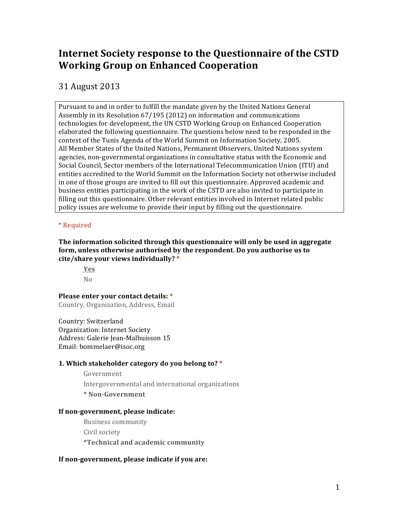# **Internet Society response to the Questionnaire of the CSTD Working Group on Enhanced Cooperation**

31 August 2013

Pursuant to and in order to fulfill the mandate given by the United Nations General Assembly in its Resolution  $67/195$  (2012) on information and communications technologies for development, the UN CSTD Working Group on Enhanced Cooperation elaborated the following questionnaire. The questions below need to be responded in the context of the Tunis Agenda of the World Summit on Information Society, 2005. All Member States of the United Nations, Permanent Observers, United Nations system agencies, non-governmental organizations in consultative status with the Economic and Social Council, Sector members of the International Telecommunication Union (ITU) and entities accredited to the World Summit on the Information Society not otherwise included in one of those groups are invited to fill out this questionnaire. Approved academic and business entities participating in the work of the CSTD are also invited to participate in filling out this questionnaire. Other relevant entities involved in Internet related public policy issues are welcome to provide their input by filling out the questionnaire.

# \* Required

**The information solicited through this questionnaire will only be used in aggregate** form, unless otherwise authorised by the respondent. Do you authorise us to **cite/share your views individually? \***

**Yes** No

# **Please enter your contact details: \***

Country, Organization, Address, Email

Country: Switzerland Organization: Internet Society Address: Galerie Jean-Malbuisson 15 Email: bommelaer@isoc.org

# **1. Which stakeholder category do you belong to? \***

Government

Intergovernmental and international organizations

**\* Non-Government**

# **If non-government, please indicate:**

Business community Civil society **\*Technical and academic community**

# If non-government, please indicate if you are: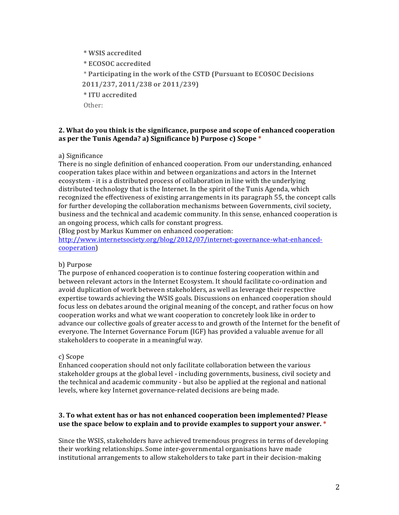**\* WSIS accredited \* ECOSOC accredited** \* **Participating in the work of the CSTD (Pursuant to ECOSOC Decisions 2011/237, 2011/238 or 2011/239) \* ITU accredited** Other:

#### 2. What do you think is the significance, purpose and scope of enhanced cooperation **as per the Tunis Agenda? a) Significance b) Purpose c) Scope \***

a) Significance

There is no single definition of enhanced cooperation. From our understanding, enhanced cooperation takes place within and between organizations and actors in the Internet ecosystem - it is a distributed process of collaboration in line with the underlying distributed technology that is the Internet. In the spirit of the Tunis Agenda, which recognized the effectiveness of existing arrangements in its paragraph 55, the concept calls for further developing the collaboration mechanisms between Governments, civil society, business and the technical and academic community. In this sense, enhanced cooperation is an ongoing process, which calls for constant progress.

(Blog post by Markus Kummer on enhanced cooperation:

http://www.internetsociety.org/blog/2012/07/internet-governance-what-enhancedcooperation)

#### b) Purpose

The purpose of enhanced cooperation is to continue fostering cooperation within and between relevant actors in the Internet Ecosystem. It should facilitate co-ordination and avoid duplication of work between stakeholders, as well as leverage their respective expertise towards achieving the WSIS goals. Discussions on enhanced cooperation should focus less on debates around the original meaning of the concept, and rather focus on how cooperation works and what we want cooperation to concretely look like in order to advance our collective goals of greater access to and growth of the Internet for the benefit of everyone. The Internet Governance Forum (IGF) has provided a valuable avenue for all stakeholders to cooperate in a meaningful way.

#### c) Scope

Enhanced cooperation should not only facilitate collaboration between the various stakeholder groups at the global level - including governments, business, civil society and the technical and academic community - but also be applied at the regional and national levels, where key Internet governance-related decisions are being made.

#### **3. To what extent has or has not enhanced cooperation been implemented? Please use the space below to explain and to provide examples to support your answer. \***

Since the WSIS, stakeholders have achieved tremendous progress in terms of developing their working relationships. Some inter-governmental organisations have made institutional arrangements to allow stakeholders to take part in their decision-making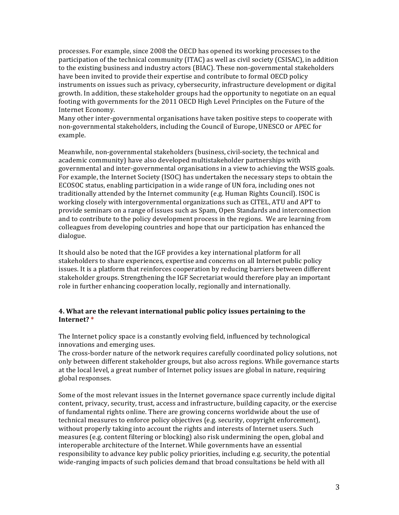processes. For example, since 2008 the OECD has opened its working processes to the participation of the technical community (ITAC) as well as civil society (CSISAC), in addition to the existing business and industry actors (BIAC). These non-governmental stakeholders have been invited to provide their expertise and contribute to formal OECD policy instruments on issues such as privacy, cybersecurity, infrastructure development or digital growth. In addition, these stakeholder groups had the opportunity to negotiate on an equal footing with governments for the 2011 OECD High Level Principles on the Future of the Internet Economy.

Many other inter-governmental organisations have taken positive steps to cooperate with non-governmental stakeholders, including the Council of Europe, UNESCO or APEC for example.

Meanwhile, non-governmental stakeholders (business, civil-society, the technical and academic community) have also developed multistakeholder partnerships with governmental and inter-governmental organisations in a view to achieving the WSIS goals. For example, the Internet Society (ISOC) has undertaken the necessary steps to obtain the ECOSOC status, enabling participation in a wide range of UN fora, including ones not traditionally attended by the Internet community (e.g. Human Rights Council). ISOC is working closely with intergovernmental organizations such as CITEL, ATU and APT to provide seminars on a range of issues such as Spam, Open Standards and interconnection and to contribute to the policy development process in the regions. We are learning from colleagues from developing countries and hope that our participation has enhanced the dialogue. 

It should also be noted that the IGF provides a key international platform for all stakeholders to share experiences, expertise and concerns on all Internet public policy issues. It is a platform that reinforces cooperation by reducing barriers between different stakeholder groups. Strengthening the IGF Secretariat would therefore play an important role in further enhancing cooperation locally, regionally and internationally.

#### 4. What are the relevant international public policy issues pertaining to the **Internet? \***

The Internet policy space is a constantly evolving field, influenced by technological innovations and emerging uses.

The cross-border nature of the network requires carefully coordinated policy solutions, not only between different stakeholder groups, but also across regions. While governance starts at the local level, a great number of Internet policy issues are global in nature, requiring global responses.

Some of the most relevant issues in the Internet governance space currently include digital content, privacy, security, trust, access and infrastructure, building capacity, or the exercise of fundamental rights online. There are growing concerns worldwide about the use of technical measures to enforce policy objectives (e.g. security, copyright enforcement), without properly taking into account the rights and interests of Internet users. Such measures (e.g. content filtering or blocking) also risk undermining the open, global and interoperable architecture of the Internet. While governments have an essential responsibility to advance key public policy priorities, including e.g. security, the potential wide-ranging impacts of such policies demand that broad consultations be held with all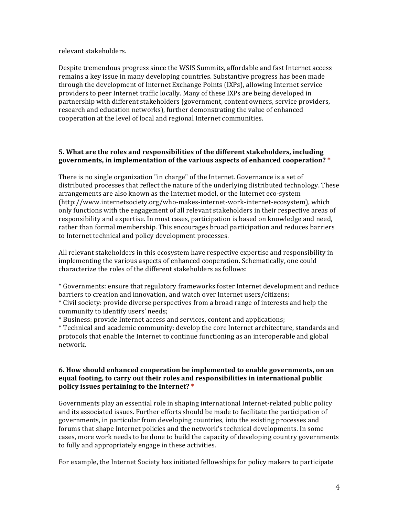relevant stakeholders.

Despite tremendous progress since the WSIS Summits, affordable and fast Internet access remains a key issue in many developing countries. Substantive progress has been made through the development of Internet Exchange Points (IXPs), allowing Internet service providers to peer Internet traffic locally. Many of these IXPs are being developed in partnership with different stakeholders (government, content owners, service providers, research and education networks), further demonstrating the value of enhanced cooperation at the level of local and regional Internet communities.

#### **5.** What are the roles and responsibilities of the different stakeholders, including **governments, in implementation of the various aspects of enhanced cooperation?** \*

There is no single organization "in charge" of the Internet. Governance is a set of distributed processes that reflect the nature of the underlying distributed technology. These arrangements are also known as the Internet model, or the Internet eco-system (http://www.internetsociety.org/who-makes-internet-work-internet-ecosystem), which only functions with the engagement of all relevant stakeholders in their respective areas of responsibility and expertise. In most cases, participation is based on knowledge and need, rather than formal membership. This encourages broad participation and reduces barriers to Internet technical and policy development processes.

All relevant stakeholders in this ecosystem have respective expertise and responsibility in implementing the various aspects of enhanced cooperation. Schematically, one could characterize the roles of the different stakeholders as follows:

\* Governments: ensure that regulatory frameworks foster Internet development and reduce barriers to creation and innovation, and watch over Internet users/citizens;

\* Civil society: provide diverse perspectives from a broad range of interests and help the community to identify users' needs;

\* Business: provide Internet access and services, content and applications;

\* Technical and academic community: develop the core Internet architecture, standards and protocols that enable the Internet to continue functioning as an interoperable and global network.

#### **6.** How should enhanced cooperation be implemented to enable governments, on an **equal footing, to carry out their roles and responsibilities in international public policy issues pertaining to the Internet? \***

Governments play an essential role in shaping international Internet-related public policy and its associated issues. Further efforts should be made to facilitate the participation of governments, in particular from developing countries, into the existing processes and forums that shape Internet policies and the network's technical developments. In some cases, more work needs to be done to build the capacity of developing country governments to fully and appropriately engage in these activities.

For example, the Internet Society has initiated fellowships for policy makers to participate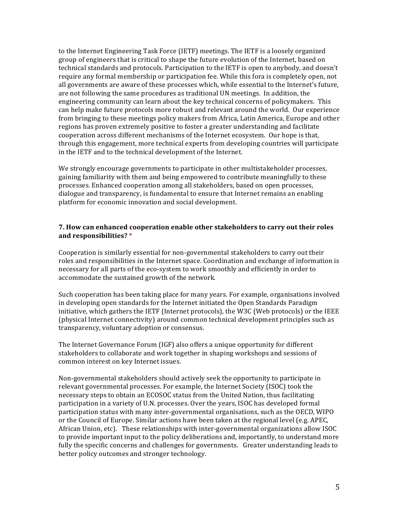to the Internet Engineering Task Force (IETF) meetings. The IETF is a loosely organized group of engineers that is critical to shape the future evolution of the Internet, based on technical standards and protocols. Participation to the IETF is open to anybody, and doesn't require any formal membership or participation fee. While this fora is completely open, not all governments are aware of these processes which, while essential to the Internet's future, are not following the same procedures as traditional UN meetings. In addition, the engineering community can learn about the key technical concerns of policymakers. This can help make future protocols more robust and relevant around the world. Our experience from bringing to these meetings policy makers from Africa, Latin America, Europe and other regions has proven extremely positive to foster a greater understanding and facilitate cooperation across different mechanisms of the Internet ecosystem. Our hope is that, through this engagement, more technical experts from developing countries will participate in the IETF and to the technical development of the Internet.

We strongly encourage governments to participate in other multistakeholder processes, gaining familiarity with them and being empowered to contribute meaningfully to these processes. Enhanced cooperation among all stakeholders, based on open processes, dialogue and transparency, is fundamental to ensure that Internet remains an enabling platform for economic innovation and social development.

#### **7.** How can enhanced cooperation enable other stakeholders to carry out their roles **and responsibilities? \***

Cooperation is similarly essential for non-governmental stakeholders to carry out their roles and responsibilities in the Internet space. Coordination and exchange of information is necessary for all parts of the eco-system to work smoothly and efficiently in order to accommodate the sustained growth of the network.

Such cooperation has been taking place for many years. For example, organisations involved in developing open standards for the Internet initiated the Open Standards Paradigm initiative, which gathers the IETF (Internet protocols), the W3C (Web protocols) or the IEEE (physical Internet connectivity) around common technical development principles such as transparency, voluntary adoption or consensus.

The Internet Governance Forum (IGF) also offers a unique opportunity for different stakeholders to collaborate and work together in shaping workshops and sessions of common interest on key Internet issues.

Non-governmental stakeholders should actively seek the opportunity to participate in relevant governmental processes. For example, the Internet Society (ISOC) took the necessary steps to obtain an ECOSOC status from the United Nation, thus facilitating participation in a variety of U.N. processes. Over the years, ISOC has developed formal participation status with many inter-governmental organisations, such as the OECD, WIPO or the Council of Europe. Similar actions have been taken at the regional level (e.g. APEC, African Union, etc). These relationships with inter-governmental organizations allow ISOC to provide important input to the policy deliberations and, importantly, to understand more fully the specific concerns and challenges for governments. Greater understanding leads to better policy outcomes and stronger technology.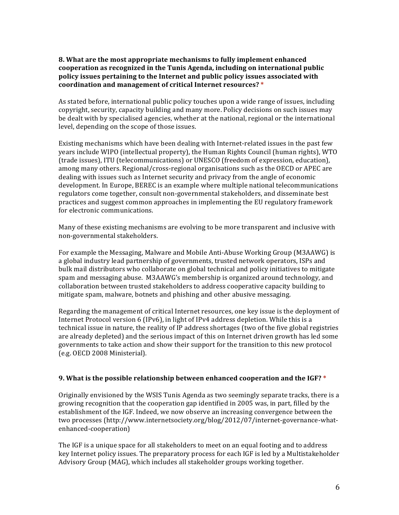## **8.** What are the most appropriate mechanisms to fully implement enhanced cooperation as recognized in the Tunis Agenda, including on international public **policy issues pertaining to the Internet and public policy issues associated with coordination and management of critical Internet resources? \***

As stated before, international public policy touches upon a wide range of issues, including copyright, security, capacity building and many more. Policy decisions on such issues may be dealt with by specialised agencies, whether at the national, regional or the international level, depending on the scope of those issues.

Existing mechanisms which have been dealing with Internet-related issues in the past few years include WIPO (intellectual property), the Human Rights Council (human rights), WTO (trade issues), ITU (telecommunications) or UNESCO (freedom of expression, education), among many others. Regional/cross-regional organisations such as the OECD or APEC are dealing with issues such as Internet security and privacy from the angle of economic development. In Europe, BEREC is an example where multiple national telecommunications regulators come together, consult non-governmental stakeholders, and disseminate best practices and suggest common approaches in implementing the EU regulatory framework for electronic communications.

Many of these existing mechanisms are evolving to be more transparent and inclusive with non-governmental stakeholders.

For example the Messaging, Malware and Mobile Anti-Abuse Working Group (M3AAWG) is a global industry lead partnership of governments, trusted network operators, ISPs and bulk mail distributors who collaborate on global technical and policy initiatives to mitigate spam and messaging abuse. M3AAWG's membership is organized around technology, and collaboration between trusted stakeholders to address cooperative capacity building to mitigate spam, malware, botnets and phishing and other abusive messaging.

Regarding the management of critical Internet resources, one key issue is the deployment of Internet Protocol version  $6$  (IPv6), in light of IPv4 address depletion. While this is a technical issue in nature, the reality of IP address shortages (two of the five global registries are already depleted) and the serious impact of this on Internet driven growth has led some governments to take action and show their support for the transition to this new protocol (e.g. OECD 2008 Ministerial).

# **9.** What is the possible relationship between enhanced cooperation and the IGF? \*

Originally envisioned by the WSIS Tunis Agenda as two seemingly separate tracks, there is a growing recognition that the cooperation gap identified in 2005 was, in part, filled by the establishment of the IGF. Indeed, we now observe an increasing convergence between the two processes (http://www.internetsociety.org/blog/2012/07/internet-governance-whatenhanced-cooperation)

The IGF is a unique space for all stakeholders to meet on an equal footing and to address key Internet policy issues. The preparatory process for each IGF is led by a Multistakeholder Advisory Group (MAG), which includes all stakeholder groups working together.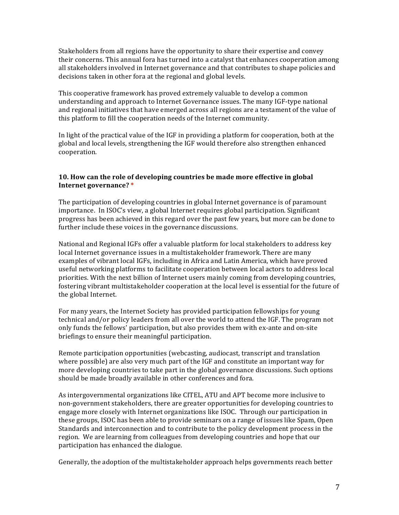Stakeholders from all regions have the opportunity to share their expertise and convey their concerns. This annual fora has turned into a catalyst that enhances cooperation among all stakeholders involved in Internet governance and that contributes to shape policies and decisions taken in other fora at the regional and global levels.

This cooperative framework has proved extremely valuable to develop a common understanding and approach to Internet Governance issues. The many IGF-type national and regional initiatives that have emerged across all regions are a testament of the value of this platform to fill the cooperation needs of the Internet community.

In light of the practical value of the IGF in providing a platform for cooperation, both at the global and local levels, strengthening the IGF would therefore also strengthen enhanced cooperation.

#### **10.** How can the role of developing countries be made more effective in global **Internet governance? \***

The participation of developing countries in global Internet governance is of paramount importance. In ISOC's view, a global Internet requires global participation. Significant progress has been achieved in this regard over the past few years, but more can be done to further include these voices in the governance discussions.

National and Regional IGFs offer a valuable platform for local stakeholders to address key local Internet governance issues in a multistakeholder framework. There are many examples of vibrant local IGFs, including in Africa and Latin America, which have proved useful networking platforms to facilitate cooperation between local actors to address local priorities. With the next billion of Internet users mainly coming from developing countries, fostering vibrant multistakeholder cooperation at the local level is essential for the future of the global Internet.

For many years, the Internet Society has provided participation fellowships for young technical and/or policy leaders from all over the world to attend the IGF. The program not only funds the fellows' participation, but also provides them with ex-ante and on-site briefings to ensure their meaningful participation.

Remote participation opportunities (webcasting, audiocast, transcript and translation where possible) are also very much part of the IGF and constitute an important way for more developing countries to take part in the global governance discussions. Such options should be made broadly available in other conferences and fora.

As intergovernmental organizations like CITEL, ATU and APT become more inclusive to non-government stakeholders, there are greater opportunities for developing countries to engage more closely with Internet organizations like ISOC. Through our participation in these groups, ISOC has been able to provide seminars on a range of issues like Spam, Open Standards and interconnection and to contribute to the policy development process in the region. We are learning from colleagues from developing countries and hope that our participation has enhanced the dialogue.

Generally, the adoption of the multistakeholder approach helps governments reach better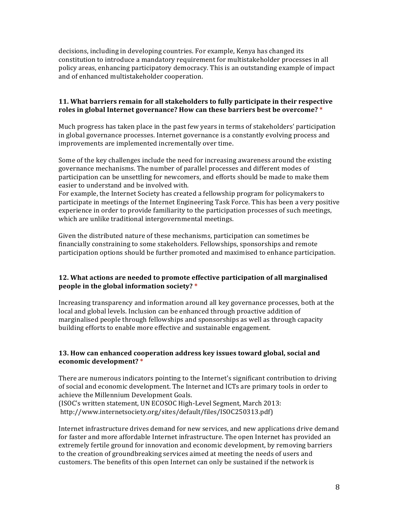decisions, including in developing countries. For example, Kenya has changed its constitution to introduce a mandatory requirement for multistakeholder processes in all policy areas, enhancing participatory democracy. This is an outstanding example of impact and of enhanced multistakeholder cooperation.

### **11.** What barriers remain for all stakeholders to fully participate in their respective roles in global Internet governance? How can these barriers best be overcome? \*

Much progress has taken place in the past few years in terms of stakeholders' participation in global governance processes. Internet governance is a constantly evolving process and improvements are implemented incrementally over time.

Some of the key challenges include the need for increasing awareness around the existing governance mechanisms. The number of parallel processes and different modes of participation can be unsettling for newcomers, and efforts should be made to make them easier to understand and be involved with.

For example, the Internet Society has created a fellowship program for policymakers to participate in meetings of the Internet Engineering Task Force. This has been a very positive experience in order to provide familiarity to the participation processes of such meetings, which are unlike traditional intergovernmental meetings.

Given the distributed nature of these mechanisms, participation can sometimes be financially constraining to some stakeholders. Fellowships, sponsorships and remote participation options should be further promoted and maximised to enhance participation.

# **12.** What actions are needed to promote effective participation of all marginalised **people** in the global information society? \*

Increasing transparency and information around all key governance processes, both at the local and global levels. Inclusion can be enhanced through proactive addition of marginalised people through fellowships and sponsorships as well as through capacity building efforts to enable more effective and sustainable engagement.

#### **13. How can enhanced cooperation address key issues toward global, social and economic development? \***

There are numerous indicators pointing to the Internet's significant contribution to driving of social and economic development. The Internet and ICTs are primary tools in order to achieve the Millennium Development Goals. (ISOC's written statement, UN ECOSOC High-Level Segment, March 2013: http://www.internetsociety.org/sites/default/files/ISOC250313.pdf)

Internet infrastructure drives demand for new services, and new applications drive demand for faster and more affordable Internet infrastructure. The open Internet has provided an extremely fertile ground for innovation and economic development, by removing barriers to the creation of groundbreaking services aimed at meeting the needs of users and customers. The benefits of this open Internet can only be sustained if the network is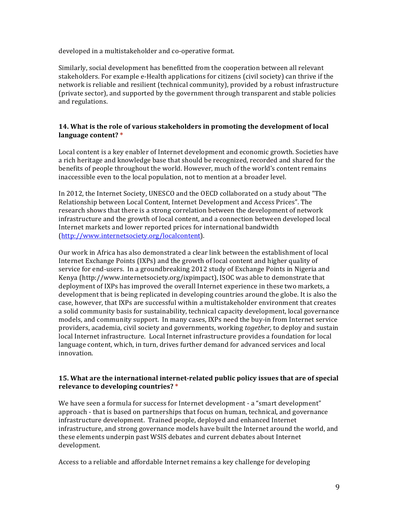developed in a multistakeholder and co-operative format.

Similarly, social development has benefitted from the cooperation between all relevant stakeholders. For example e-Health applications for citizens (civil society) can thrive if the network is reliable and resilient (technical community), provided by a robust infrastructure (private sector), and supported by the government through transparent and stable policies and regulations.

## **14.** What is the role of various stakeholders in promoting the development of local **language content? \***

Local content is a key enabler of Internet development and economic growth. Societies have a rich heritage and knowledge base that should be recognized, recorded and shared for the benefits of people throughout the world. However, much of the world's content remains inaccessible even to the local population, not to mention at a broader level.

In 2012, the Internet Society, UNESCO and the OECD collaborated on a study about "The Relationship between Local Content, Internet Development and Access Prices". The research shows that there is a strong correlation between the development of network infrastructure and the growth of local content, and a connection between developed local Internet markets and lower reported prices for international bandwidth (http://www.internetsociety.org/localcontent).

Our work in Africa has also demonstrated a clear link between the establishment of local Internet Exchange Points (IXPs) and the growth of local content and higher quality of service for end-users. In a groundbreaking 2012 study of Exchange Points in Nigeria and Kenya (http://www.internetsociety.org/ixpimpact), ISOC was able to demonstrate that deployment of IXPs has improved the overall Internet experience in these two markets, a development that is being replicated in developing countries around the globe. It is also the case, however, that IXPs are successful within a multistakeholder environment that creates a solid community basis for sustainability, technical capacity development, local governance models, and community support. In many cases, IXPs need the buy-in from Internet service providers, academia, civil society and governments, working *together*, to deploy and sustain local Internet infrastructure. Local Internet infrastructure provides a foundation for local language content, which, in turn, drives further demand for advanced services and local innovation.

#### **15.** What are the international internet-related public policy issues that are of special **relevance to developing countries?** \*

We have seen a formula for success for Internet development - a "smart development" approach - that is based on partnerships that focus on human, technical, and governance infrastructure development. Trained people, deployed and enhanced Internet infrastructure, and strong governance models have built the Internet around the world, and these elements underpin past WSIS debates and current debates about Internet development.

Access to a reliable and affordable Internet remains a key challenge for developing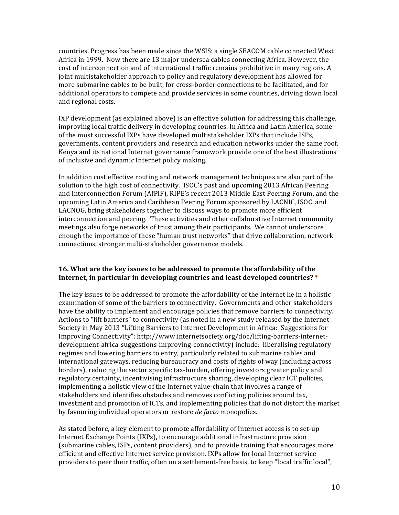countries. Progress has been made since the WSIS: a single SEACOM cable connected West Africa in 1999. Now there are 13 major undersea cables connecting Africa. However, the cost of interconnection and of international traffic remains prohibitive in many regions. A joint multistakeholder approach to policy and regulatory development has allowed for more submarine cables to be built, for cross-border connections to be facilitated, and for additional operators to compete and provide services in some countries, driving down local and regional costs.

IXP development (as explained above) is an effective solution for addressing this challenge, improving local traffic delivery in developing countries. In Africa and Latin America, some of the most successful IXPs have developed multistakeholder IXPs that include ISPs, governments, content providers and research and education networks under the same roof. Kenya and its national Internet governance framework provide one of the best illustrations of inclusive and dynamic Internet policy making.

In addition cost effective routing and network management techniques are also part of the solution to the high cost of connectivity. ISOC's past and upcoming 2013 African Peering and Interconnection Forum (AfPIF), RIPE's recent 2013 Middle East Peering Forum, and the upcoming Latin America and Caribbean Peering Forum sponsored by LACNIC, ISOC, and LACNOG, bring stakeholders together to discuss ways to promote more efficient interconnection and peering. These activities and other collaborative Internet community meetings also forge networks of trust among their participants. We cannot underscore enough the importance of these "human trust networks" that drive collaboration, network connections, stronger multi-stakeholder governance models.

#### **16.** What are the key issues to be addressed to promote the affordability of the **Internet, in particular in developing countries and least developed countries?** \*

The key issues to be addressed to promote the affordability of the Internet lie in a holistic examination of some of the barriers to connectivity. Governments and other stakeholders have the ability to implement and encourage policies that remove barriers to connectivity. Actions to "lift barriers" to connectivity (as noted in a new study released by the Internet Society in May 2013 "Lifting Barriers to Internet Development in Africa: Suggestions for Improving Connectivity": http://www.internetsociety.org/doc/lifting-barriers-internetdevelopment-africa-suggestions-improving-connectivity) include: liberalising regulatory regimes and lowering barriers to entry, particularly related to submarine cables and international gateways, reducing bureaucracy and costs of rights of way (including across borders), reducing the sector specific tax-burden, offering investors greater policy and regulatory certainty, incentivising infrastructure sharing, developing clear ICT policies, implementing a holistic view of the Internet value-chain that involves a range of stakeholders and identifies obstacles and removes conflicting policies around tax, investment and promotion of ICTs, and implementing policies that do not distort the market by favouring individual operators or restore *de facto* monopolies.

As stated before, a key element to promote affordability of Internet access is to set-up Internet Exchange Points (IXPs), to encourage additional infrastructure provision (submarine cables, ISPs, content providers), and to provide training that encourages more efficient and effective Internet service provision. IXPs allow for local Internet service providers to peer their traffic, often on a settlement-free basis, to keep "local traffic local",